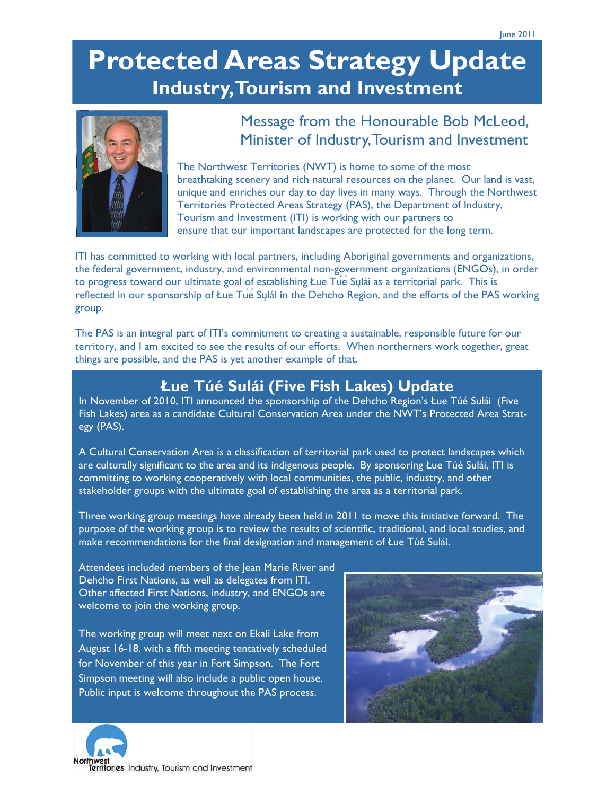# **Protected Areas Strategy Update Industry, Tourism and Investment**



### Message from the Honourable Bob McLeod, Minister of Industry, Tourism and Investment

The Northwest Territories (NWT) is home to some of the most breathtaking scenery and rich natural resources on the planet. Our land is vast, unique and enriches our day to day lives in many ways. Through the Northwest Territories Protected Areas Strategy (PAS), the Department of Industry, Tourism and Investment (ITI) is working with our partners to ensure that our important landscapes are protected for the long term.

ITI has committed to working with local partners, including Aboriginal governments and organizations, the federal government, industry, and environmental non-government organizations (ENGOs), in order to progress toward our ultimate goal of establishing Łue Tue Sulái as a territorial park. This is reflected in our sponsorship of Łue Tue<sup>Sulái</sup> in the Dehcho Region, and the efforts of the PAS working group.

The PAS is an integral part of ITI's commitment to creating a sustainable, responsible future for our territory, and I am excited to see the results of our efforts. When northerners work together, great things are possible, and the PAS is yet another example of that.

## **Łue Túé Sulái (Five Fish Lakes) Update**

In November of 2010, ITI announced the sponsorship of the Dehcho Region's Łue Túé Sulái (Five Fish Lakes) area as a candidate Cultural Conservation Area under the NWT's Protected Area Strategy (PAS).

A Cultural Conservation Area is a classification of territorial park used to protect landscapes which are culturally significant to the area and its indigenous people. By sponsoring Łue Túé Sulái, ITI is committing to working cooperatively with local communities, the public, industry, and other stakeholder groups with the ultimate goal of establishing the area as a territorial park.

Three working group meetings have already been held in 2011 to move this initiative forward. The purpose of the working group is to review the results of scientific, traditional, and local studies, and make recommendations for the final designation and management of Łue Túé Sulái.

Attendees included members of the Jean Marie River and Dehcho First Nations, as well as delegates from ITI. Other affected First Nations, industry, and ENGOs are welcome to join the working group.

The working group will meet next on Ekali Lake from August 16-18, with a fifth meeting tentatively scheduled for November of this year in Fort Simpson. The Fort Simpson meeting will also include a public open house. Public input is welcome throughout the PAS process.



Territories Industry, Tourism and Investment